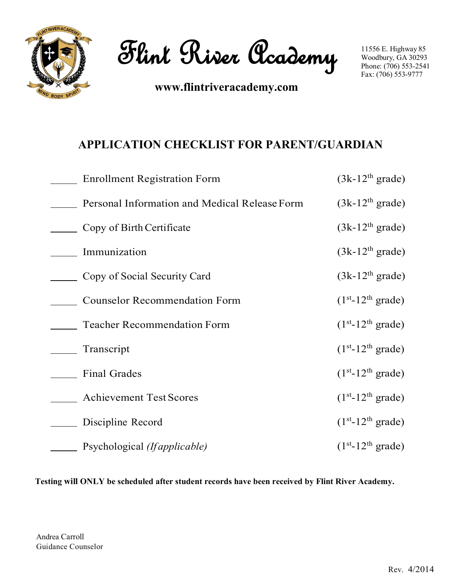

**Flint River Academy**

**www.flintriveracademy.com**

# **APPLICATION CHECKLIST FOR PARENT/GUARDIAN**

| <b>Enrollment Registration Form</b>           | $(3k-12th grade)$  |
|-----------------------------------------------|--------------------|
| Personal Information and Medical Release Form | $(3k-12th grade)$  |
| Copy of Birth Certificate                     | $(3k-12th grade)$  |
| Immunization                                  | $(3k-12th grade)$  |
| Copy of Social Security Card                  | $(3k-12th grade)$  |
| <b>Counselor Recommendation Form</b>          | $(1st-12th grade)$ |
| <b>Teacher Recommendation Form</b>            | $(1st-12th grade)$ |
| Transcript                                    | $(1st-12th grade)$ |
| <b>Final Grades</b>                           | $(1st-12th grade)$ |
| <b>Achievement Test Scores</b>                | $(1st-12th grade)$ |
| Discipline Record                             | $(1st-12th grade)$ |
| Psychological (If <i>applicable</i> )         | $(1st-12th grade)$ |

**Testing will ONLY be scheduled after student records have been received by Flint River Academy.**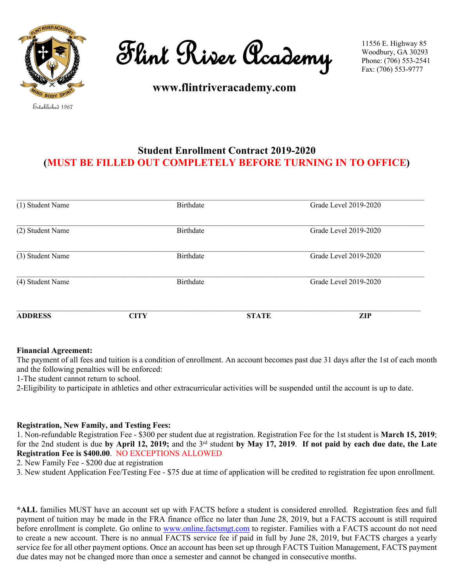

**Flint River Academy**

**www.flintriveracademy.com**

# **Student Enrollment Contract 2019-2020 (MUST BE FILLED OUT COMPLETELY BEFORE TURNING IN TO OFFICE)**

| (1) Student Name |             | Birthdate        |              | Grade Level 2019-2020 |
|------------------|-------------|------------------|--------------|-----------------------|
| (2) Student Name |             | Birthdate        |              | Grade Level 2019-2020 |
| (3) Student Name |             | <b>Birthdate</b> |              | Grade Level 2019-2020 |
| (4) Student Name |             | <b>Birthdate</b> |              | Grade Level 2019-2020 |
| <b>ADDRESS</b>   | <b>CITY</b> |                  | <b>STATE</b> | ZIP                   |

#### **Financial Agreement:**

The payment of all fees and tuition is a condition of enrollment. An account becomes past due 31 days after the 1st of each month and the following penalties will be enforced:

1-The student cannot return to school.

2-Eligibility to participate in athletics and other extracurricular activities will be suspended until the account is up to date.

## **Registration, New Family, and Testing Fees:**

1. Non-refundable Registration Fee - \$300 per student due at registration. Registration Fee for the 1st student is **March 15, 2019**; for the 2nd student is due **by April 12, 2019;** and the 3rd student **by May 17, 2019**. **If not paid by each due date, the Late Registration Fee is \$400.00**. NO EXCEPTIONS ALLOWED

2. New Family Fee - \$200 due at registration

3. New student Application Fee/Testing Fee - \$75 due at time of application will be credited to registration fee upon enrollment.

**\*ALL** families MUST have an account set up with FACTS before a student is considered enrolled. Registration fees and full payment of tuition may be made in the FRA finance office no later than June 28, 2019, but a FACTS account is still required before enrollment is complete. Go online to [www.online.factsmgt.com](https://d.docs.live.net/00bf4df8807f631b/FRA/www.online.factsmgt.com) to register. Families with a FACTS account do not need to create a new account. There is no annual FACTS service fee if paid in full by June 28, 2019, but FACTS charges a yearly service fee for all other payment options. Once an account has been set up through FACTS Tuition Management, FACTS payment due dates may not be changed more than once a semester and cannot be changed in consecutive months.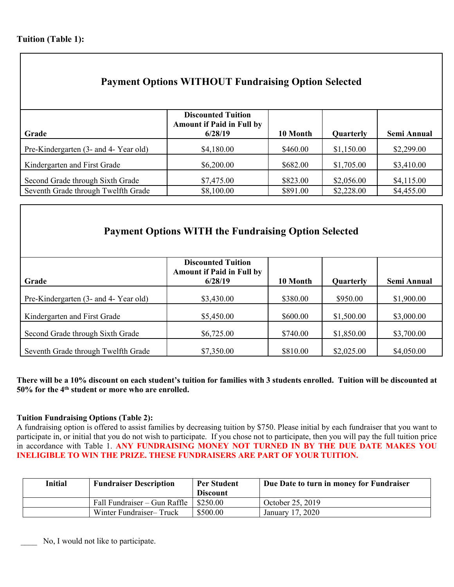| <b>Payment Options WITHOUT Fundraising Option Selected</b>              |                                                                          |                      |                          |                          |  |
|-------------------------------------------------------------------------|--------------------------------------------------------------------------|----------------------|--------------------------|--------------------------|--|
| Grade                                                                   | <b>Discounted Tuition</b><br><b>Amount if Paid in Full by</b><br>6/28/19 | 10 Month             | <b>Quarterly</b>         | Semi Annual              |  |
| Pre-Kindergarten (3- and 4- Year old)                                   | \$4,180.00                                                               | \$460.00             | \$1,150.00               | \$2,299.00               |  |
| Kindergarten and First Grade                                            | \$6,200.00                                                               | \$682.00             | \$1,705.00               | \$3,410.00               |  |
| Second Grade through Sixth Grade<br>Seventh Grade through Twelfth Grade | \$7,475.00<br>\$8,100.00                                                 | \$823.00<br>\$891.00 | \$2,056.00<br>\$2,228.00 | \$4,115.00<br>\$4,455.00 |  |

# **Payment Options WITH the Fundraising Option Selected**

| Grade                                 | <b>Discounted Tuition</b><br><b>Amount if Paid in Full by</b><br>6/28/19 | 10 Month | Quarterly  | <b>Semi Annual</b> |
|---------------------------------------|--------------------------------------------------------------------------|----------|------------|--------------------|
| Pre-Kindergarten (3- and 4- Year old) | \$3,430.00                                                               | \$380.00 | \$950.00   | \$1,900.00         |
| Kindergarten and First Grade          | \$5,450.00                                                               | \$600.00 | \$1,500.00 | \$3,000.00         |
| Second Grade through Sixth Grade      | \$6,725.00                                                               | \$740.00 | \$1,850.00 | \$3,700.00         |
| Seventh Grade through Twelfth Grade   | \$7,350.00                                                               | \$810.00 | \$2,025.00 | \$4,050.00         |

There will be a 10% discount on each student's tuition for families with 3 students enrolled. Tuition will be discounted at **50% for the 4 th student or more who are enrolled.**

## **Tuition Fundraising Options (Table 2):**

A fundraising option is offered to assist families by decreasing tuition by \$750. Please initial by each fundraiser that you want to participate in, or initial that you do not wish to participate. If you chose not to participate, then you will pay the full tuition price in accordance with Table 1. **ANY FUNDRAISING MONEY NOT TURNED IN BY THE DUE DATE MAKES YOU INELIGIBLE TO WIN THE PRIZE. THESE FUNDRAISERS ARE PART OF YOUR TUITION.**

| Initial | <b>Fundraiser Description</b> | <b>Per Student</b> | Due Date to turn in money for Fundraiser |
|---------|-------------------------------|--------------------|------------------------------------------|
|         |                               | <b>Discount</b>    |                                          |
|         | Fall Fundraiser – Gun Raffle  | \$250.00           | October 25, 2019                         |
|         | Winter Fundraiser-Truck       | \$500.00           | January 17, 2020                         |

No, I would not like to participate.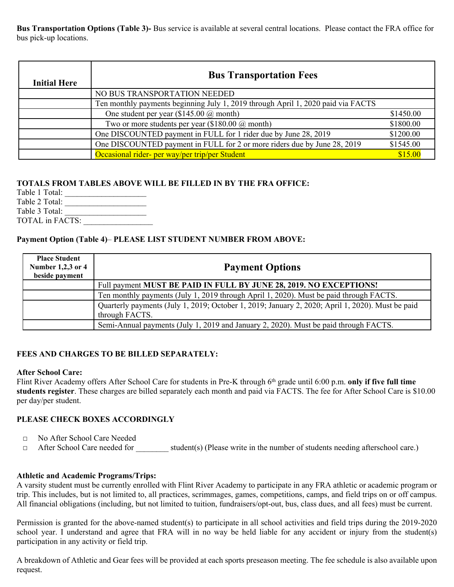**Bus Transportation Options (Table 3)-** Bus service is available at several central locations. Please contact the FRA office for bus pick-up locations.

| <b>Initial Here</b> | <b>Bus Transportation Fees</b>                                                   |           |
|---------------------|----------------------------------------------------------------------------------|-----------|
|                     | NO BUS TRANSPORTATION NEEDED                                                     |           |
|                     | Ten monthly payments beginning July 1, 2019 through April 1, 2020 paid via FACTS |           |
|                     | One student per year $(\$145.00 @$ month)                                        | \$1450.00 |
|                     | Two or more students per year $(\$180.00 \text{ (}a)$ month)                     | \$1800.00 |
|                     | One DISCOUNTED payment in FULL for 1 rider due by June 28, 2019                  | \$1200.00 |
|                     | One DISCOUNTED payment in FULL for 2 or more riders due by June 28, 2019         | \$1545.00 |
|                     | Occasional rider- per way/per trip/per Student                                   | \$15.00   |

## **TOTALS FROM TABLES ABOVE WILL BE FILLED IN BY THE FRA OFFICE:**

Table 1 Total: \_\_\_\_\_\_\_\_\_\_\_\_\_\_\_\_\_\_\_\_ Table 2 Total: \_\_\_\_\_\_\_\_\_\_\_\_\_\_\_\_\_\_\_\_ Table 3 Total: \_\_\_\_\_\_\_\_\_\_\_\_\_\_\_\_\_\_\_\_ TOTAL in FACTS:

### **Payment Option (Table 4)**– **PLEASE LIST STUDENT NUMBER FROM ABOVE:**

| <b>Place Student</b><br>Number 1,2,3 or 4<br>beside payment | <b>Payment Options</b>                                                                                             |
|-------------------------------------------------------------|--------------------------------------------------------------------------------------------------------------------|
|                                                             | Full payment MUST BE PAID IN FULL BY JUNE 28, 2019. NO EXCEPTIONS!                                                 |
|                                                             | Ten monthly payments (July 1, 2019 through April 1, 2020). Must be paid through FACTS.                             |
|                                                             | Quarterly payments (July 1, 2019; October 1, 2019; January 2, 2020; April 1, 2020). Must be paid<br>through FACTS. |
|                                                             | Semi-Annual payments (July 1, 2019 and January 2, 2020). Must be paid through FACTS.                               |

## **FEES AND CHARGES TO BE BILLED SEPARATELY:**

#### **After School Care:**

Flint River Academy offers After School Care for students in Pre-K through 6 th grade until 6:00 p.m. **only if five full time students register**. These charges are billed separately each month and paid via FACTS. The fee for After School Care is \$10.00 per day/per student.

#### **PLEASE CHECK BOXES ACCORDINGLY**

- □ No After School Care Needed
- □ After School Care needed for \_\_\_\_\_\_\_\_ student(s) (Please write in the number of students needing afterschool care.)

#### **Athletic and Academic Programs/Trips:**

A varsity student must be currently enrolled with Flint River Academy to participate in any FRA athletic or academic program or trip. This includes, but is not limited to, all practices, scrimmages, games, competitions, camps, and field trips on or off campus. All financial obligations (including, but not limited to tuition, fundraisers/opt-out, bus, class dues, and all fees) must be current.

Permission is granted for the above-named student(s) to participate in all school activities and field trips during the 2019-2020 school year. I understand and agree that FRA will in no way be held liable for any accident or injury from the student(s) participation in any activity or field trip.

A breakdown of Athletic and Gear fees will be provided at each sports preseason meeting. The fee schedule is also available upon request.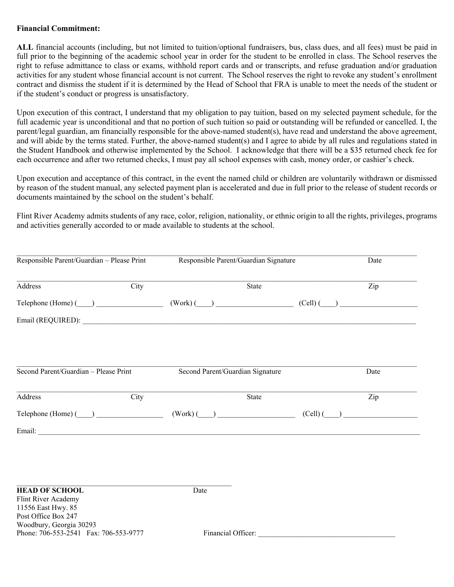#### **Financial Commitment:**

**ALL** financial accounts (including, but not limited to tuition/optional fundraisers, bus, class dues, and all fees) must be paid in full prior to the beginning of the academic school year in order for the student to be enrolled in class. The School reserves the right to refuse admittance to class or exams, withhold report cards and or transcripts, and refuse graduation and/or graduation activities for any student whose financial account is not current. The School reserves the right to revoke any student's enrollment contract and dismiss the student if it is determined by the Head of School that FRA is unable to meet the needs of the student or if the student's conduct or progress is unsatisfactory.

Upon execution of this contract, I understand that my obligation to pay tuition, based on my selected payment schedule, for the full academic year is unconditional and that no portion of such tuition so paid or outstanding will be refunded or cancelled. I, the parent/legal guardian, am financially responsible for the above-named student(s), have read and understand the above agreement, and will abide by the terms stated. Further, the above-named student(s) and I agree to abide by all rules and regulations stated in the Student Handbook and otherwise implemented by the School. I acknowledge that there will be a \$35 returned check fee for each occurrence and after two returned checks, I must pay all school expenses with cash, money order, or cashier's check.

Upon execution and acceptance of this contract, in the event the named child or children are voluntarily withdrawn or dismissed by reason of the student manual, any selected payment plan is accelerated and due in full prior to the release of student records or documents maintained by the school on the student's behalf.

Flint River Academy admits students of any race, color, religion, nationality, or ethnic origin to all the rights, privileges, programs and activities generally accorded to or made available to students at the school.

| Responsible Parent/Guardian - Please Print |      | Responsible Parent/Guardian Signature |                                  | Date       |  |      |
|--------------------------------------------|------|---------------------------------------|----------------------------------|------------|--|------|
| Address                                    | City |                                       | State                            |            |  | Zip  |
| $\text{Telephone (Home)}$ $\qquad$         |      |                                       | $(Work)$ $\qquad)$               | $(Cell)$ ( |  |      |
|                                            |      |                                       |                                  |            |  |      |
|                                            |      |                                       |                                  |            |  |      |
| Second Parent/Guardian - Please Print      |      |                                       | Second Parent/Guardian Signature |            |  | Date |
| Address                                    | City |                                       | <b>State</b>                     |            |  | Zip  |
|                                            |      |                                       | $(Work)$ ( )                     | $(Cell)$ ( |  |      |
| $\text{Telephone (Home)}$ ( )              |      |                                       |                                  |            |  |      |

### **HEAD OF SCHOOL** Date

Flint River Academy 11556 East Hwy. 85 Post Office Box 247 Woodbury, Georgia 30293 Phone: 706-553-2541 Fax: 706-553-9777 Financial Officer: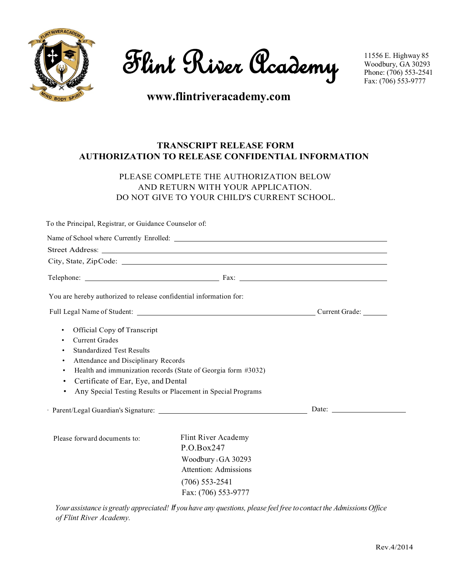

**Flint River Academy**

# **www.flintriveracademy.com**

## **TRANSCRIPT RELEASE FORM AUTHORIZATION TO RELEASE CONFIDENTIAL INFORMATION**

## PLEASE COMPLETE THE AUTHORIZATION BELOW AND RETURN WITH YOUR APPLICATION. DO NOT GIVE TO YOUR CHILD'S CURRENT SCHOOL.

To the Principal, Registrar, or Guidance Counselor of:

| You are hereby authorized to release confidential information for:                                                                                                                                                                |                                                                                                                                    |                                                                                                                                                                                                                                |
|-----------------------------------------------------------------------------------------------------------------------------------------------------------------------------------------------------------------------------------|------------------------------------------------------------------------------------------------------------------------------------|--------------------------------------------------------------------------------------------------------------------------------------------------------------------------------------------------------------------------------|
|                                                                                                                                                                                                                                   |                                                                                                                                    |                                                                                                                                                                                                                                |
| Official Copy of Transcript<br>$\bullet$<br><b>Current Grades</b><br>٠<br><b>Standardized Test Results</b><br>٠<br>Attendance and Disciplinary Records<br>٠<br>$\bullet$<br>Certificate of Ear, Eye, and Dental<br>٠<br>$\bullet$ | Health and immunization records (State of Georgia form #3032)<br>Any Special Testing Results or Placement in Special Programs      | Date: the contract of the contract of the contract of the contract of the contract of the contract of the contract of the contract of the contract of the contract of the contract of the contract of the contract of the cont |
| Please forward documents to:                                                                                                                                                                                                      | Flint River Academy<br>P.O.Box247<br>Woodbury tGA 30293<br><b>Attention: Admissions</b><br>$(706)$ 553-2541<br>Fax: (706) 553-9777 |                                                                                                                                                                                                                                |

Your assistance is greatly appreciated! If you have any questions, please feel free to contact the Admissions Office *of Flint River Academy.*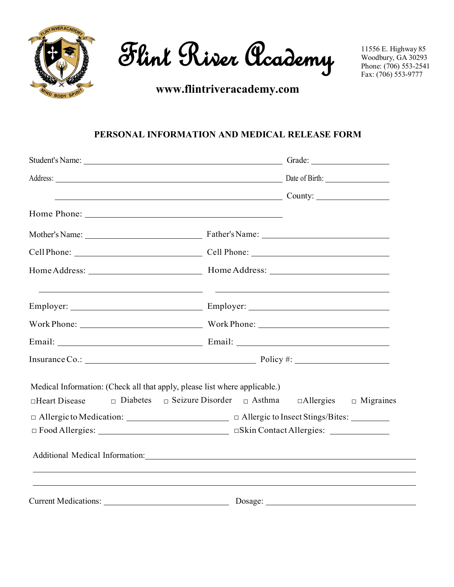

**Flint River Academy**

**www.flintriveracademy.com**

# **PERSONAL INFORMATION AND MEDICAL RELEASE FORM**

|                                                                                                                 | Address: Date of Birth: Date of Birth:                                        |
|-----------------------------------------------------------------------------------------------------------------|-------------------------------------------------------------------------------|
|                                                                                                                 | $\sim$ County: $\sim$ County:                                                 |
|                                                                                                                 |                                                                               |
|                                                                                                                 |                                                                               |
|                                                                                                                 |                                                                               |
|                                                                                                                 |                                                                               |
|                                                                                                                 |                                                                               |
|                                                                                                                 |                                                                               |
|                                                                                                                 |                                                                               |
|                                                                                                                 | Insurance Co.: $\_\_\_\_\_\_\$ Policy #:                                      |
| Medical Information: (Check all that apply, please list where applicable.)<br>$\Box$ Diabetes<br>□Heart Disease | $\Box$ Seizure Disorder $\Box$ Asthma<br>$\Box$ Allergies $\Box$ Migraines    |
|                                                                                                                 |                                                                               |
|                                                                                                                 |                                                                               |
|                                                                                                                 | Additional Medical Information: Manual Manual Additional Medical Information: |
|                                                                                                                 | Current Medications: Dosage: Dosage:                                          |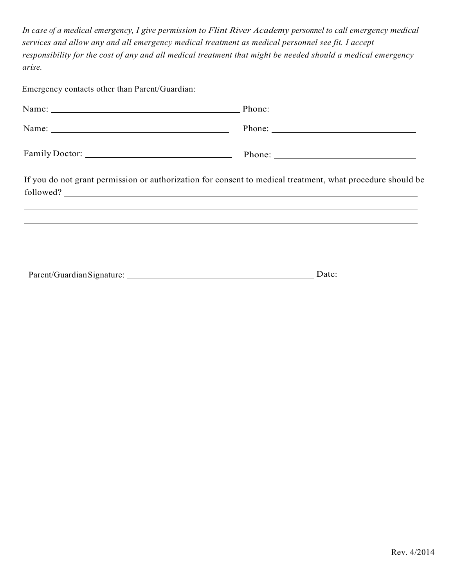*In case of a medical emergency, I give permission to Flint River Academy personnel to call emergency medical services and allow any and all emergency medical treatment as medical personnel see fit. I accept responsibility for the cost of any and all medical treatment that might be needed should a medical emergency arise.*

Emergency contacts other than Parent/Guardian:

| If you do not grant permission or authorization for consent to medical treatment, what procedure should be<br>followed? |
|-------------------------------------------------------------------------------------------------------------------------|
| <u>,这些人都是一个人的人,就是一个人的人,就是一个人的人,就是一个人的人,就是一个人的人,就是一个人的人,就是一个人的人,</u>                                                     |
|                                                                                                                         |
| Date: $\_\_$                                                                                                            |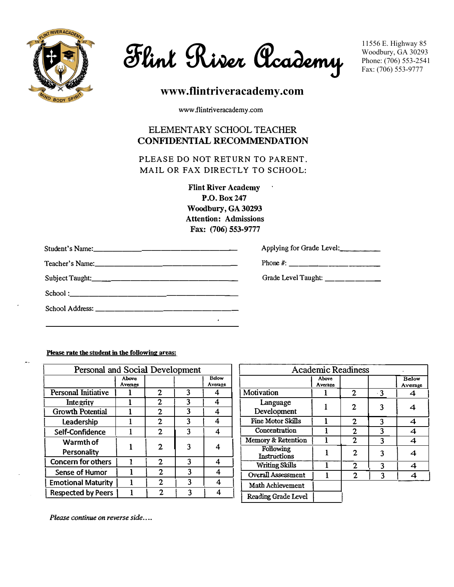

**Flint River Academy**

# **www.flintriveracademy.com**

www.flintriveracademy.com

## ELEMENTARY SCHOOLTEACHER **CONFIDENTIAL RECOMMENDATION**

**PLEASE DO NOT RETURN TO PARENT. MAIL OR FAX DIRECTLY TO SCHOOL:** 

> **Flint River Academy P.O.Box247 Woodbury, GA 30293 Attention: Admissions Fax: (706) 553-9777**

| Applying for Grade Level:      |
|--------------------------------|
|                                |
| Grade Level Taught: __________ |
|                                |
|                                |

**Please rate the student in the following areas:** 

| Personal and Social Development |                  |                |   |                  |                                  | <b>Academic Readiness</b> |                |           |
|---------------------------------|------------------|----------------|---|------------------|----------------------------------|---------------------------|----------------|-----------|
|                                 | Above<br>Average |                |   | Below<br>Average |                                  | Above<br>Average          |                |           |
| Personal Initiative             |                  | 2              | 3 | 4                | Motivation                       |                           | $\overline{2}$ | $\cdot$ 3 |
| Integrity                       |                  | $\mathbf{2}$   | 3 | 4                | Language                         |                           | $\mathbf{2}$   | 3         |
| <b>Growth Potential</b>         |                  | $\overline{2}$ | 3 | 4                | Development                      |                           |                |           |
| Leadership                      |                  | $\mathbf{2}$   | 3 | 4                | Fine Motor Skills                |                           | $\mathbf{2}$   | 3         |
| Self-Confidence                 |                  | $\overline{2}$ | 3 | 4                | Concentration                    |                           | $\mathbf{2}$   | 3         |
| Warmth of                       |                  |                |   |                  | Memory & Retention               |                           | $\mathbf{2}$   | 3         |
| Personality                     |                  | $\overline{2}$ |   | 4                | Following<br><b>Instructions</b> |                           | 2              | 3         |
| Concern for others              |                  | $\mathbf{2}$   | 3 | 4                | <b>Writing Skills</b>            |                           | $\mathbf{2}$   | 3         |
| Sense of Humor                  |                  | $\overline{2}$ | 3 | 4                | <b>Overall Assessment</b>        |                           | $\mathbf{2}$   | 3         |
| <b>Emotional Maturity</b>       |                  | $\mathbf{2}$   | 3 | 4                | Math Achievement                 |                           |                |           |
| <b>Respected by Peers</b>       |                  | $\mathbf{2}$   | 3 | 4                | Reading Grade Level              |                           |                |           |

| <b>Academic Readiness</b>            |  |   |           |   |  |  |  |  |  |
|--------------------------------------|--|---|-----------|---|--|--|--|--|--|
| Above<br>Below<br>Average<br>Average |  |   |           |   |  |  |  |  |  |
| Motivation                           |  | 2 | $\cdot$ 3 |   |  |  |  |  |  |
| Language<br>Development              |  | 2 | 3         |   |  |  |  |  |  |
| Fine Motor Skills                    |  | 2 | 3         | 4 |  |  |  |  |  |
| Concentration                        |  | 2 | 3         | 4 |  |  |  |  |  |
| Memory & Retention                   |  | 2 | 3         | 4 |  |  |  |  |  |
| Following<br><b>Instructions</b>     |  | 2 | 3         | 4 |  |  |  |  |  |
| <b>Writing Skills</b>                |  | 2 | 3         |   |  |  |  |  |  |
| <b>Overall Assessment</b>            |  | 2 | 3         | 4 |  |  |  |  |  |
| Math Achievement                     |  |   |           |   |  |  |  |  |  |
| Reading Grade Level                  |  |   |           |   |  |  |  |  |  |

*Please continue on reverse side....*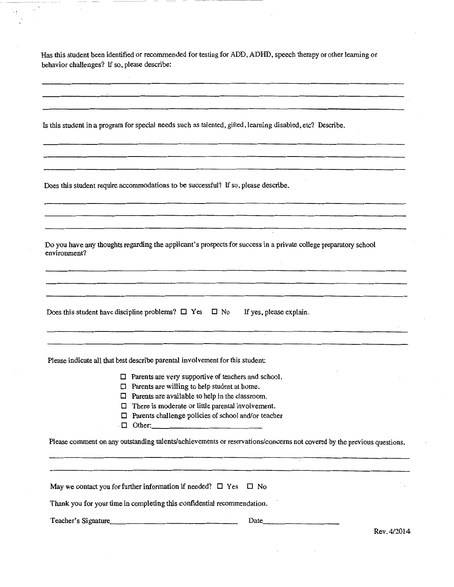Has this student been identified or recommended for testing for ADD, ADHD, speech therapy or other learning or behavior challenges? If so, please describe:

Is this student in a program for special needs such as talented, gifted, learning disabled, etc? Describe.

Does this student require accommodations to be successful? If so, please describe.

÷,

Do you have any thoughts regarding the applicant's prospects for success in a private college preparatory school environment?

Does this student have discipline problems?  $\Box$  Yes  $\Box$  No If yes, please explain.

Please indicate all that best describe parental involvement for this student:

 $\Box$  Parents are very supportive of teachers and school.

- $\Box$  Parents are willing to help student at home.
- $\Box$  Parents are available to help in the classroom.
- $\Box$  There is moderate or little parental involvement.
- D Parents challenge policies of school and/or teacher
- D Other: \_\_\_\_\_\_\_\_\_\_\_ \_

Please comment on any outstanding talents/achievements or reservations/concerns not covered by the previous questions.

| May we contact you for further information if needed? $\Box$ Yes $\Box$ No |      |                     |
|----------------------------------------------------------------------------|------|---------------------|
| Thank you for your time in completing this confidential recommendation.    |      |                     |
| Teacher's Signature                                                        | Date | $D_{22}$ , $A/201A$ |

Rev.4/2014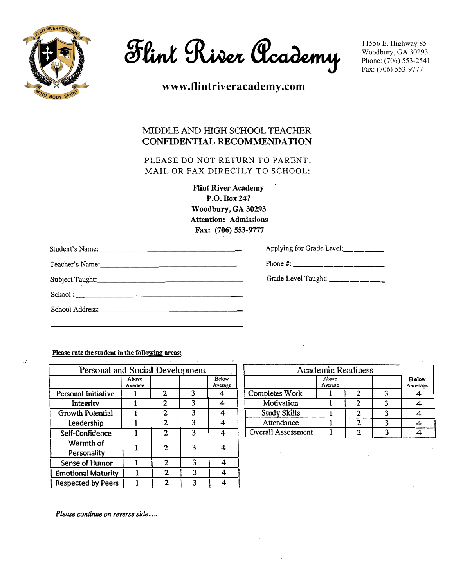

**Flint River Academy**

**www.flintriveracademy.com**

# MIDDLE AND HIGH SCHOOL TEACHER CONFIDENTIAL RECOMMENDATION

PLEASE DO NOT RETURN TO PARENT. MAIL OR FAX DIRECTLY TO SCHOOL:

> **Flint River Academy P.O.Box247 Woodbury, GA 30293**  Attention: Admissions Fax: (706) 553-9777

| Applying for Grade Level: ___ __ ___ |
|--------------------------------------|
|                                      |
|                                      |
|                                      |
|                                      |
|                                      |

**Please rate the student in the following areas:** 

 $\mathbb{R}^2$ 

| Personal and Social Development |                  |              |   |                  |                           | <b>Academic Readiness</b> |              |   |
|---------------------------------|------------------|--------------|---|------------------|---------------------------|---------------------------|--------------|---|
|                                 | Above<br>Average |              |   | Below<br>Average |                           | Above<br>Average          |              |   |
| Personal Initiative             |                  | 2            | 3 | 4                | Completes Work            |                           | $\mathbf{2}$ | 3 |
| Integrity                       |                  | $\mathbf{2}$ | 3 | 4                | Motivation                |                           | 2            | 3 |
| Growth Potential                |                  | 2            | 3 | 4                | <b>Study Skills</b>       |                           | 2            | 3 |
| Leadership                      |                  | 2            | 3 | 4                | Attendance                |                           | $\mathbf{2}$ | 3 |
| Self-Confidence                 |                  | $\mathbf{2}$ | 3 | 4                | <b>Overall Assessment</b> |                           | $\mathbf{2}$ | 3 |
| Warmth of<br>Personality        |                  | $\mathbf 2$  | 3 | 4                |                           |                           |              |   |
| Sense of Humor                  |                  | $\mathbf{2}$ | 3 | 4                |                           |                           |              |   |
| <b>Emotional Maturity</b>       |                  | $\mathbf{2}$ | 3 | 4                |                           |                           |              |   |
| <b>Respected by Peers</b>       |                  | $\mathbf{2}$ | 3 | 4                |                           |                           |              |   |

| <b>Academic Readiness</b>            |  |  |  |  |  |  |  |  |
|--------------------------------------|--|--|--|--|--|--|--|--|
| Above<br>Below<br>Average<br>Average |  |  |  |  |  |  |  |  |
| Completes Work                       |  |  |  |  |  |  |  |  |
| Motivation                           |  |  |  |  |  |  |  |  |
| <b>Study Skills</b>                  |  |  |  |  |  |  |  |  |
| Attendance                           |  |  |  |  |  |  |  |  |
| <b>Overall Assessment</b>            |  |  |  |  |  |  |  |  |

*Please continue on reverse side •...*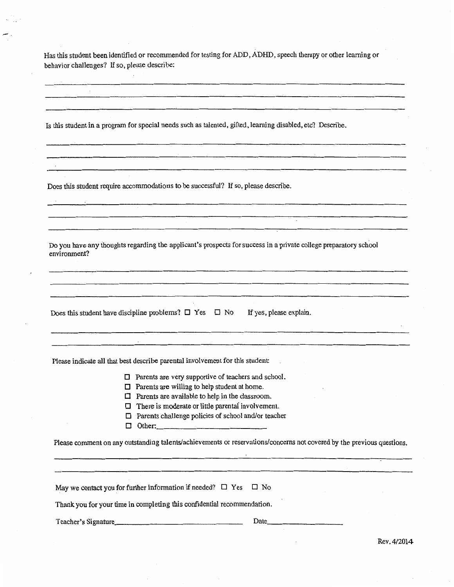Has this student been identified or recommended for testing for ADD, ADHD, speech therapy or other learning or behavior challenges? If so, please describe:

Is this studentin a program for special needs such as talented, gifted, learning disabled, etc? Describe.

Does this student require accommodations to be successful? If so, please describe.

<u>.</u><br>1980 - Jan Berlin, Amerikaansk politikus († 1980)

Do you have any thoughts regarding the applicant's prospects for success in a private college preparatory school environment?

Does this student have discipline problems?  $\Box$  Yes  $\Box$  No If yes, please explain.

Please indicate all that best describe parental involvement for this student

 $\Box$  Parents are very supportive of teachers and school.

- $\Box$  Parents are willing to help student at home.
- $\Box$  Parents are available to help in the classroom.
- $\Box$  There is moderate or little parental involvement.
- D Parents challenge policies of school and/or teacher
- D Other.. \_\_\_\_\_\_\_\_\_\_\_ \_

Please comment on any outstanding talents/achievements or reservations/concerns not covered by the previous questions.

May we contact you for further information if needed?  $\Box$  Yes  $\Box$  No

Thank you for your time in completing this confidential recommendation.

Teacher's Signature. \_\_\_\_\_\_\_\_\_\_\_\_\_\_\_\_ \_ Date. \_\_\_\_\_\_\_\_ \_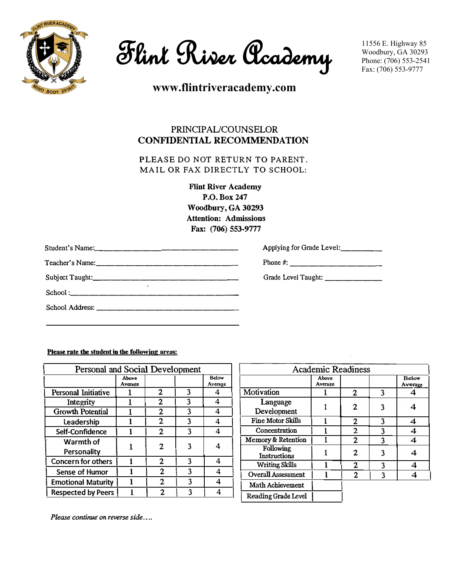

**Flint River Academy**

**www.flintriveracademy.com**

# PRINCIPAL/COUNSELOR **CONFIDENTIAL RECOMMENDATION**

**PLEASE DO NOT RETURN TO PARENT. MAIL OR FAX DIRECTLY TO SCHOOL:** 

> **Flint River Academy P.O.Box 247 Woodbury, GA 30293 Attention: Admissions Fax: (706) 553-9777**

| Applying for Grade Level:       |
|---------------------------------|
|                                 |
| Grade Level Taught: ___________ |
|                                 |
|                                 |
|                                 |

**Please rate the student in the following areas:** 

| Personal and Social Development |                  |                |   |                  |                                                                                                                                                                                                                                                  |                  |              |   |
|---------------------------------|------------------|----------------|---|------------------|--------------------------------------------------------------------------------------------------------------------------------------------------------------------------------------------------------------------------------------------------|------------------|--------------|---|
|                                 | Above<br>Average |                |   | Below<br>Average |                                                                                                                                                                                                                                                  | Above<br>Average |              |   |
| Personal Initiative             |                  | $\mathbf 2$    | 3 | 4                | Motivation                                                                                                                                                                                                                                       |                  | $\mathbf{2}$ | 3 |
| Integrity                       |                  | $\mathbf{2}$   | 3 | 4                | Language                                                                                                                                                                                                                                         |                  |              |   |
| <b>Growth Potential</b>         |                  | $\mathbf{2}$   | 3 | 4                | <b>Academic Readiness</b><br>Development<br><b>Fine Motor Skills</b><br>Concentration<br>Memory & Retention<br>Following<br><b>Instructions</b><br><b>Writing Skills</b><br><b>Overall Assessment</b><br>Math Achievement<br>Reading Grade Level | 2                | 3            |   |
| Leadership                      |                  | $\mathbf{2}$   | 3 | 4                |                                                                                                                                                                                                                                                  |                  | $\mathbf{2}$ | 3 |
| Self-Confidence                 |                  | $\overline{2}$ | 3 | 4                |                                                                                                                                                                                                                                                  |                  | $\mathbf{2}$ | 3 |
| Warmth of                       |                  |                |   |                  |                                                                                                                                                                                                                                                  |                  | $\mathbf{2}$ | 3 |
| Personality                     |                  | $\mathbf{2}$   | 3 |                  |                                                                                                                                                                                                                                                  |                  | $\mathbf{2}$ | 3 |
| <b>Concern for others</b>       |                  | $\mathbf{2}$   | 3 | 4                |                                                                                                                                                                                                                                                  |                  | $\mathbf{2}$ | 3 |
| Sense of Humor                  |                  | $\mathbf{2}$   |   | 4                |                                                                                                                                                                                                                                                  |                  | $\mathbf{2}$ | 3 |
| <b>Emotional Maturity</b>       |                  | $\mathbf{2}$   | 3 | 4                |                                                                                                                                                                                                                                                  |                  |              |   |
| <b>Respected by Peers</b>       |                  | $\mathbf{2}$   | 3 | 4                |                                                                                                                                                                                                                                                  |                  |              |   |
|                                 |                  |                |   |                  |                                                                                                                                                                                                                                                  |                  |              |   |

| <b>Academic Readiness</b>            |  |                |   |   |  |  |  |  |
|--------------------------------------|--|----------------|---|---|--|--|--|--|
| Below<br>Above<br>Average<br>Average |  |                |   |   |  |  |  |  |
| Motivation                           |  | $\mathbf{2}$   | 3 |   |  |  |  |  |
| Language<br>Development              |  | 2              | 3 |   |  |  |  |  |
| Fine Motor Skills                    |  | $\mathbf{2}$   | 3 | 4 |  |  |  |  |
| Concentration                        |  | 2              | 3 | 4 |  |  |  |  |
| Memory & Retention                   |  | 2              | 3 | 4 |  |  |  |  |
| Following<br>Instructions            |  | 2              | 3 |   |  |  |  |  |
| <b>Writing Skills</b>                |  | 2              | 3 |   |  |  |  |  |
| <b>Overall Assessment</b>            |  | $\mathfrak{D}$ | ٩ |   |  |  |  |  |
| <b>Math Achievement</b>              |  |                |   |   |  |  |  |  |
| Reading Grade Level                  |  |                |   |   |  |  |  |  |

*Please continue on reverse side ....*